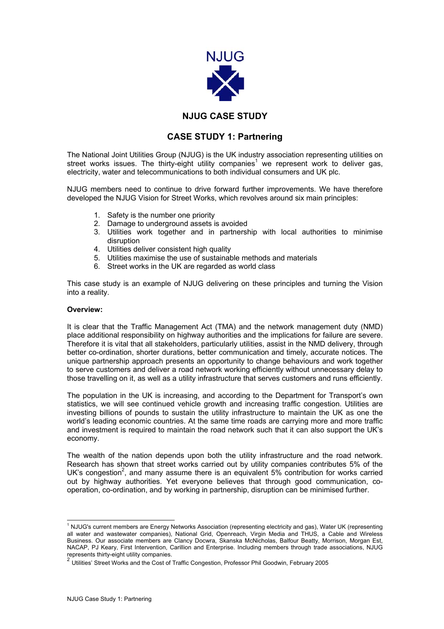

## **NJUG CASE STUDY**

## **CASE STUDY 1: Partnering**

The National Joint Utilities Group (NJUG) is the UK industry association representing utilities on street works issues. The thirty-eight utility companies<sup>[1](#page-0-0)</sup> we represent work to deliver gas, electricity, water and telecommunications to both individual consumers and UK plc.

NJUG members need to continue to drive forward further improvements. We have therefore developed the NJUG Vision for Street Works, which revolves around six main principles:

- 1. Safety is the number one priority
- 2. Damage to underground assets is avoided
- 3. Utilities work together and in partnership with local authorities to minimise disruption
- 4. Utilities deliver consistent high quality
- 5. Utilities maximise the use of sustainable methods and materials
- 6. Street works in the UK are regarded as world class

This case study is an example of NJUG delivering on these principles and turning the Vision into a reality.

## **Overview:**

It is clear that the Traffic Management Act (TMA) and the network management duty (NMD) place additional responsibility on highway authorities and the implications for failure are severe. Therefore it is vital that all stakeholders, particularly utilities, assist in the NMD delivery, through better co-ordination, shorter durations, better communication and timely, accurate notices. The unique partnership approach presents an opportunity to change behaviours and work together to serve customers and deliver a road network working efficiently without unnecessary delay to those travelling on it, as well as a utility infrastructure that serves customers and runs efficiently.

The population in the UK is increasing, and according to the Department for Transport's own statistics, we will see continued vehicle growth and increasing traffic congestion. Utilities are investing billions of pounds to sustain the utility infrastructure to maintain the UK as one the world's leading economic countries. At the same time roads are carrying more and more traffic and investment is required to maintain the road network such that it can also support the UK's economy.

The wealth of the nation depends upon both the utility infrastructure and the road network. Research has shown that street works carried out by utility companies contributes 5% of the UK's congestion<sup>[2](#page-0-1)</sup>, and many assume there is an equivalent 5% contribution for works carried out by highway authorities. Yet everyone believes that through good communication, cooperation, co-ordination, and by working in partnership, disruption can be minimised further.

<span id="page-0-0"></span> $\frac{1}{1}$ <sup>1</sup> NJUG's current members are Energy Networks Association (representing electricity and gas), Water UK (representing all water and wastewater companies), National Grid, Openreach, Virgin Media and THUS, a Cable and Wireless Business. Our associate members are Clancy Docwra, Skanska McNicholas, Balfour Beatty, Morrison, Morgan Est, NACAP, PJ Keary, First Intervention, Carillion and Enterprise. Including members through trade associations, NJUG represents thirty-eight utility companies.<br>
<sup>2</sup> Utilities' Street Works and the Cost of Traffic Congestion, Professor Phil Goodwin, February 2005

<span id="page-0-1"></span>